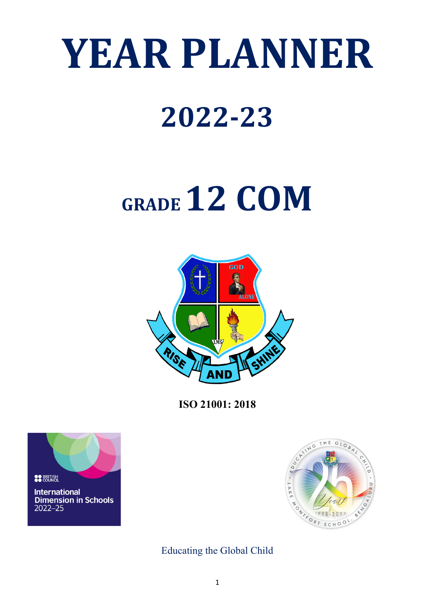# **YEAR PLANNER**

### **2022-23**

## **GRADE 12 COM**



**ISO 21001: 2018**





Educating the Global Child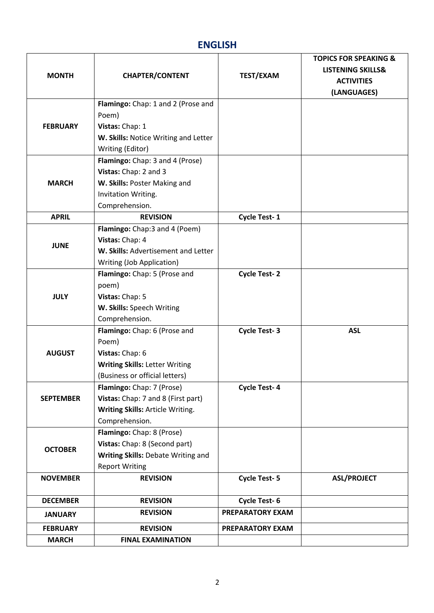#### **ENGLISH**

|                  |                                       |                         | <b>TOPICS FOR SPEAKING &amp;</b> |
|------------------|---------------------------------------|-------------------------|----------------------------------|
| <b>MONTH</b>     |                                       |                         | <b>LISTENING SKILLS&amp;</b>     |
|                  | <b>CHAPTER/CONTENT</b>                | <b>TEST/EXAM</b>        | <b>ACTIVITIES</b>                |
|                  |                                       |                         | (LANGUAGES)                      |
|                  | Flamingo: Chap: 1 and 2 (Prose and    |                         |                                  |
|                  | Poem)                                 |                         |                                  |
| <b>FEBRUARY</b>  | Vistas: Chap: 1                       |                         |                                  |
|                  | W. Skills: Notice Writing and Letter  |                         |                                  |
|                  | Writing (Editor)                      |                         |                                  |
|                  | Flamingo: Chap: 3 and 4 (Prose)       |                         |                                  |
|                  | Vistas: Chap: 2 and 3                 |                         |                                  |
| <b>MARCH</b>     | W. Skills: Poster Making and          |                         |                                  |
|                  | Invitation Writing.                   |                         |                                  |
|                  | Comprehension.                        |                         |                                  |
| <b>APRIL</b>     | <b>REVISION</b>                       | Cycle Test-1            |                                  |
|                  | Flamingo: Chap:3 and 4 (Poem)         |                         |                                  |
|                  | Vistas: Chap: 4                       |                         |                                  |
| <b>JUNE</b>      | W. Skills: Advertisement and Letter   |                         |                                  |
|                  | Writing (Job Application)             |                         |                                  |
|                  | Flamingo: Chap: 5 (Prose and          | <b>Cycle Test-2</b>     |                                  |
|                  | poem)                                 |                         |                                  |
| <b>JULY</b>      | Vistas: Chap: 5                       |                         |                                  |
|                  | W. Skills: Speech Writing             |                         |                                  |
|                  | Comprehension.                        |                         |                                  |
|                  | Flamingo: Chap: 6 (Prose and          | <b>Cycle Test-3</b>     | <b>ASL</b>                       |
|                  | Poem)                                 |                         |                                  |
| <b>AUGUST</b>    | Vistas: Chap: 6                       |                         |                                  |
|                  | <b>Writing Skills: Letter Writing</b> |                         |                                  |
|                  | (Business or official letters)        |                         |                                  |
|                  | Flamingo: Chap: 7 (Prose)             | <b>Cycle Test-4</b>     |                                  |
| <b>SEPTEMBER</b> | Vistas: Chap: 7 and 8 (First part)    |                         |                                  |
|                  | Writing Skills: Article Writing.      |                         |                                  |
|                  | Comprehension.                        |                         |                                  |
|                  | Flamingo: Chap: 8 (Prose)             |                         |                                  |
| <b>OCTOBER</b>   | Vistas: Chap: 8 (Second part)         |                         |                                  |
|                  | Writing Skills: Debate Writing and    |                         |                                  |
|                  | <b>Report Writing</b>                 |                         |                                  |
| <b>NOVEMBER</b>  | <b>REVISION</b>                       | <b>Cycle Test-5</b>     | <b>ASL/PROJECT</b>               |
|                  |                                       |                         |                                  |
| <b>DECEMBER</b>  | <b>REVISION</b>                       | Cycle Test-6            |                                  |
| <b>JANUARY</b>   | <b>REVISION</b>                       | <b>PREPARATORY EXAM</b> |                                  |
| <b>FEBRUARY</b>  | <b>REVISION</b>                       | PREPARATORY EXAM        |                                  |
| <b>MARCH</b>     | <b>FINAL EXAMINATION</b>              |                         |                                  |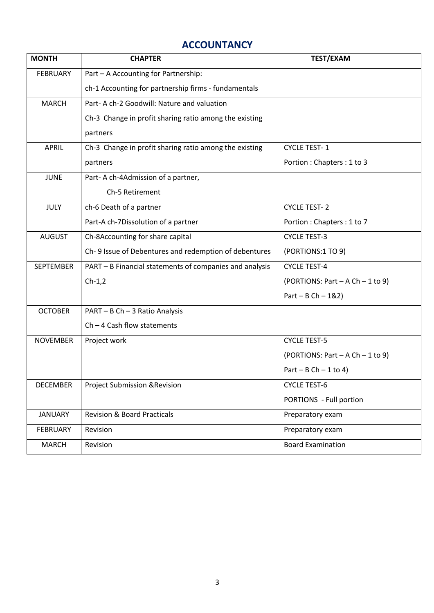#### **ACCOUNTANCY**

| <b>MONTH</b>     | <b>CHAPTER</b>                                          | <b>TEST/EXAM</b>                     |
|------------------|---------------------------------------------------------|--------------------------------------|
| <b>FEBRUARY</b>  | Part - A Accounting for Partnership:                    |                                      |
|                  | ch-1 Accounting for partnership firms - fundamentals    |                                      |
| <b>MARCH</b>     | Part- A ch-2 Goodwill: Nature and valuation             |                                      |
|                  | Ch-3 Change in profit sharing ratio among the existing  |                                      |
|                  | partners                                                |                                      |
| <b>APRIL</b>     | Ch-3 Change in profit sharing ratio among the existing  | <b>CYCLE TEST-1</b>                  |
|                  | partners                                                | Portion: Chapters: 1 to 3            |
| <b>JUNE</b>      | Part-A ch-4Admission of a partner,                      |                                      |
|                  | Ch-5 Retirement                                         |                                      |
| <b>JULY</b>      | ch-6 Death of a partner                                 | <b>CYCLE TEST-2</b>                  |
|                  | Part-A ch-7Dissolution of a partner                     | Portion: Chapters: 1 to 7            |
| <b>AUGUST</b>    | Ch-8Accounting for share capital                        | <b>CYCLE TEST-3</b>                  |
|                  | Ch-9 Issue of Debentures and redemption of debentures   | (PORTIONS:1 TO 9)                    |
| <b>SEPTEMBER</b> | PART - B Financial statements of companies and analysis | <b>CYCLE TEST-4</b>                  |
|                  | $Ch-1,2$                                                | (PORTIONS: Part - A Ch - 1 to 9)     |
|                  |                                                         | $Part - B Ch - 1&2)$                 |
| <b>OCTOBER</b>   | PART - B Ch - 3 Ratio Analysis                          |                                      |
|                  | $Ch - 4$ Cash flow statements                           |                                      |
| <b>NOVEMBER</b>  | Project work                                            | <b>CYCLE TEST-5</b>                  |
|                  |                                                         | (PORTIONS: Part $-$ A Ch $-$ 1 to 9) |
|                  |                                                         | $Part - B Ch - 1 to 4)$              |
| <b>DECEMBER</b>  | <b>Project Submission &amp; Revision</b>                | <b>CYCLE TEST-6</b>                  |
|                  |                                                         | PORTIONS - Full portion              |
| <b>JANUARY</b>   | <b>Revision &amp; Board Practicals</b>                  | Preparatory exam                     |
| <b>FEBRUARY</b>  | Revision                                                | Preparatory exam                     |
| <b>MARCH</b>     | Revision                                                | <b>Board Examination</b>             |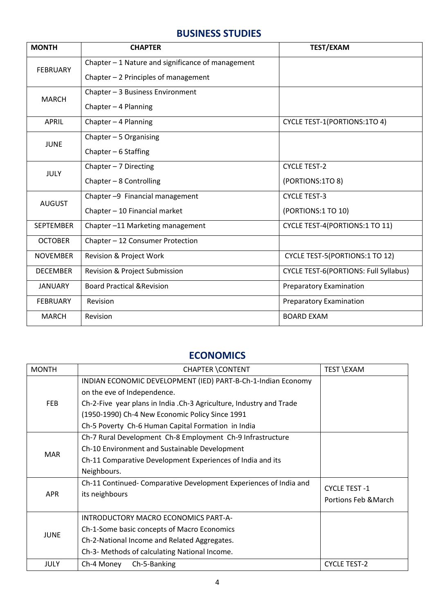#### **BUSINESS STUDIES**

| <b>MONTH</b>     | <b>CHAPTER</b>                                    | <b>TEST/EXAM</b>                             |
|------------------|---------------------------------------------------|----------------------------------------------|
| <b>FEBRUARY</b>  | Chapter - 1 Nature and significance of management |                                              |
|                  | Chapter - 2 Principles of management              |                                              |
| <b>MARCH</b>     | Chapter - 3 Business Environment                  |                                              |
|                  | Chapter - 4 Planning                              |                                              |
| <b>APRIL</b>     | Chapter - 4 Planning                              | <b>CYCLE TEST-1(PORTIONS:1TO 4)</b>          |
| <b>JUNE</b>      | Chapter $-5$ Organising                           |                                              |
|                  | Chapter $-6$ Staffing                             |                                              |
| <b>JULY</b>      | Chapter $-7$ Directing                            | <b>CYCLE TEST-2</b>                          |
|                  | Chapter - 8 Controlling                           | (PORTIONS:1TO 8)                             |
| <b>AUGUST</b>    | Chapter -9 Financial management                   | <b>CYCLE TEST-3</b>                          |
|                  | Chapter - 10 Financial market                     | (PORTIONS:1 TO 10)                           |
| <b>SEPTEMBER</b> | Chapter-11 Marketing management                   | <b>CYCLE TEST-4(PORTIONS:1 TO 11)</b>        |
| <b>OCTOBER</b>   | Chapter - 12 Consumer Protection                  |                                              |
| <b>NOVEMBER</b>  | Revision & Project Work                           | CYCLE TEST-5(PORTIONS:1 TO 12)               |
| <b>DECEMBER</b>  | <b>Revision &amp; Project Submission</b>          | <b>CYCLE TEST-6(PORTIONS: Full Syllabus)</b> |
| <b>JANUARY</b>   | <b>Board Practical &amp; Revision</b>             | <b>Preparatory Examination</b>               |
| <b>FEBRUARY</b>  | Revision                                          | <b>Preparatory Examination</b>               |
| <b>MARCH</b>     | Revision                                          | <b>BOARD EXAM</b>                            |

#### **ECONOMICS**

| <b>MONTH</b> | <b>CHAPTER \CONTENT</b>                                             | TEST \EXAM           |
|--------------|---------------------------------------------------------------------|----------------------|
| <b>FEB</b>   | INDIAN ECONOMIC DEVELOPMENT (IED) PART-B-Ch-1-Indian Economy        |                      |
|              | on the eve of Independence.                                         |                      |
|              | Ch-2-Five year plans in India .Ch-3 Agriculture, Industry and Trade |                      |
|              | (1950-1990) Ch-4 New Economic Policy Since 1991                     |                      |
|              | Ch-5 Poverty Ch-6 Human Capital Formation in India                  |                      |
|              | Ch-7 Rural Development Ch-8 Employment Ch-9 Infrastructure          |                      |
| <b>MAR</b>   | Ch-10 Environment and Sustainable Development                       |                      |
|              | Ch-11 Comparative Development Experiences of India and its          |                      |
|              | Neighbours.                                                         |                      |
|              | Ch-11 Continued-Comparative Development Experiences of India and    | <b>CYCLE TEST -1</b> |
| <b>APR</b>   | its neighbours                                                      | Portions Feb & March |
|              |                                                                     |                      |
| <b>JUNE</b>  | INTRODUCTORY MACRO ECONOMICS PART-A-                                |                      |
|              | Ch-1-Some basic concepts of Macro Economics                         |                      |
|              | Ch-2-National Income and Related Aggregates.                        |                      |
|              | Ch-3- Methods of calculating National Income.                       |                      |
| JULY         | Ch-5-Banking<br>Ch-4 Money                                          | <b>CYCLE TEST-2</b>  |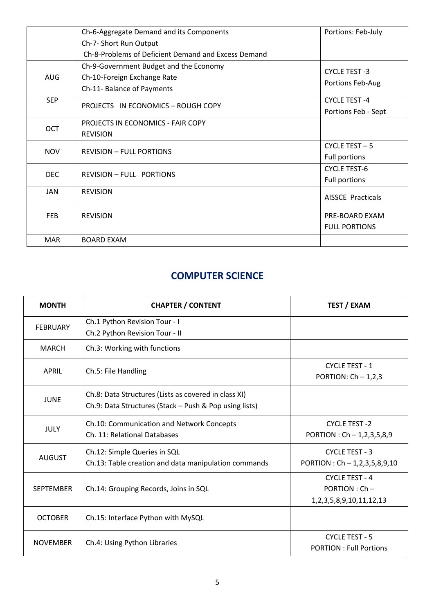|            | Ch-6-Aggregate Demand and its Components            | Portions: Feb-July       |
|------------|-----------------------------------------------------|--------------------------|
|            | Ch-7- Short Run Output                              |                          |
|            | Ch-8-Problems of Deficient Demand and Excess Demand |                          |
|            | Ch-9-Government Budget and the Economy              | <b>CYCLE TEST -3</b>     |
| <b>AUG</b> | Ch-10-Foreign Exchange Rate                         |                          |
|            | Ch-11- Balance of Payments                          | Portions Feb-Aug         |
| <b>SEP</b> | PROJECTS IN ECONOMICS - ROUGH COPY                  | <b>CYCLE TEST-4</b>      |
|            |                                                     | Portions Feb - Sept      |
| <b>OCT</b> | PROJECTS IN ECONOMICS - FAIR COPY                   |                          |
|            | <b>REVISION</b>                                     |                          |
| <b>NOV</b> | <b>REVISION - FULL PORTIONS</b>                     | CYCLE TEST - 5           |
|            |                                                     | <b>Full portions</b>     |
|            | <b>REVISION - FULL PORTIONS</b>                     | <b>CYCLE TEST-6</b>      |
| <b>DEC</b> |                                                     | Full portions            |
| JAN        | <b>REVISION</b>                                     | <b>AISSCE Practicals</b> |
|            |                                                     |                          |
| <b>FEB</b> | <b>REVISION</b>                                     | PRE-BOARD EXAM           |
|            |                                                     | <b>FULL PORTIONS</b>     |
| <b>MAR</b> | <b>BOARD EXAM</b>                                   |                          |

#### **COMPUTER SCIENCE**

| <b>MONTH</b>     | <b>CHAPTER / CONTENT</b>                               | <b>TEST / EXAM</b>                |
|------------------|--------------------------------------------------------|-----------------------------------|
| <b>FEBRUARY</b>  | Ch.1 Python Revision Tour - I                          |                                   |
|                  | Ch.2 Python Revision Tour - II                         |                                   |
| <b>MARCH</b>     | Ch.3: Working with functions                           |                                   |
| <b>APRIL</b>     | Ch.5: File Handling                                    | <b>CYCLE TEST - 1</b>             |
|                  |                                                        | PORTION: $Ch - 1,2,3$             |
| <b>JUNE</b>      | Ch.8: Data Structures (Lists as covered in class XI)   |                                   |
|                  | Ch.9: Data Structures (Stack - Push & Pop using lists) |                                   |
| <b>JULY</b>      | Ch.10: Communication and Network Concepts              | <b>CYCLE TEST-2</b>               |
|                  | Ch. 11: Relational Databases                           | PORTION : $Ch - 1, 2, 3, 5, 8, 9$ |
| <b>AUGUST</b>    | Ch.12: Simple Queries in SQL                           | <b>CYCLE TEST - 3</b>             |
|                  | Ch.13: Table creation and data manipulation commands   | PORTION : $Ch - 1,2,3,5,8,9,10$   |
|                  |                                                        | <b>CYCLE TEST - 4</b>             |
| <b>SEPTEMBER</b> | Ch.14: Grouping Records, Joins in SQL                  | $PORTION : Ch -$                  |
|                  |                                                        | 1, 2, 3, 5, 8, 9, 10, 11, 12, 13  |
| <b>OCTOBER</b>   | Ch.15: Interface Python with MySQL                     |                                   |
| <b>NOVEMBER</b>  | Ch.4: Using Python Libraries                           | CYCLE TEST - 5                    |
|                  |                                                        | <b>PORTION: Full Portions</b>     |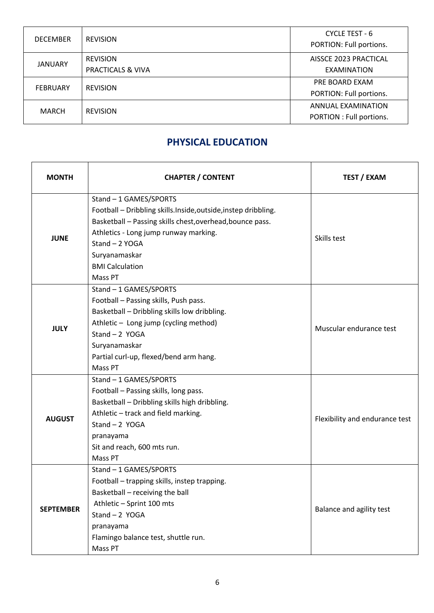| <b>DECEMBER</b> | <b>REVISION</b>   | CYCLE TEST - 6<br>PORTION: Full portions. |
|-----------------|-------------------|-------------------------------------------|
| <b>JANUARY</b>  | <b>REVISION</b>   | AISSCE 2023 PRACTICAL                     |
|                 | PRACTICALS & VIVA | EXAMINATION                               |
| <b>FEBRUARY</b> | <b>REVISION</b>   | PRE BOARD EXAM                            |
|                 |                   | PORTION: Full portions.                   |
| MARCH           | <b>REVISION</b>   | ANNUAL EXAMINATION                        |
|                 |                   | PORTION : Full portions.                  |

#### **PHYSICAL EDUCATION**

| <b>MONTH</b>     | <b>CHAPTER / CONTENT</b>                                                                                                                                                                                                                                             | <b>TEST / EXAM</b>             |
|------------------|----------------------------------------------------------------------------------------------------------------------------------------------------------------------------------------------------------------------------------------------------------------------|--------------------------------|
| <b>JUNE</b>      | Stand - 1 GAMES/SPORTS<br>Football - Dribbling skills.Inside,outside,instep dribbling.<br>Basketball - Passing skills chest, overhead, bounce pass.<br>Athletics - Long jump runway marking.<br>Stand - 2 YOGA<br>Suryanamaskar<br><b>BMI Calculation</b><br>Mass PT | Skills test                    |
| <b>JULY</b>      | Stand - 1 GAMES/SPORTS<br>Football - Passing skills, Push pass.<br>Basketball - Dribbling skills low dribbling.<br>Athletic - Long jump (cycling method)<br>Stand $-2$ YOGA<br>Suryanamaskar<br>Partial curl-up, flexed/bend arm hang.<br>Mass PT                    | Muscular endurance test        |
| <b>AUGUST</b>    | Stand - 1 GAMES/SPORTS<br>Football - Passing skills, long pass.<br>Basketball - Dribbling skills high dribbling.<br>Athletic - track and field marking.<br>Stand $-2$ YOGA<br>pranayama<br>Sit and reach, 600 mts run.<br>Mass PT                                    | Flexibility and endurance test |
| <b>SEPTEMBER</b> | Stand - 1 GAMES/SPORTS<br>Football - trapping skills, instep trapping.<br>Basketball - receiving the ball<br>Athletic - Sprint 100 mts<br>Stand $-2$ YOGA<br>pranayama<br>Flamingo balance test, shuttle run.<br>Mass PT                                             | Balance and agility test       |